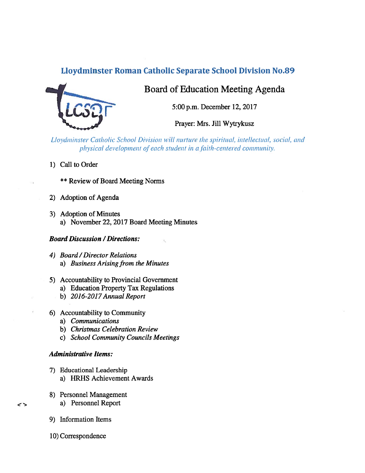## Lloydminster Roman Catholic Separate School Division No.89



Board of Education Meeting Agenda

5:00 p.m. December 12, 2017

Prayer: Mrs. Jill Wytrykusz

Lloydminster Catholic School Division will nurture the spiritual, intellectual, social, and physical development of each student in a faith-centered community.

ïL.

1) Call to Order

\*\* Review of Board Meeting Norms

- 2) Adoption of Agenda
- 3) Adoption of Minutes a) November 22, 2017 Board Meeting Minutes

### **Board Discussion / Directions:**

- 4) Board /Director Relations a) Business Arising from the Minutes
- 5) Accountability to Provincial Government
	- a) Education Property Tax Regulations
	- b) 2016-2017 Annual Report
- 6) Accountability to Community
	- a) Communications
	- b) Christmas Celebration Review
	- c) School Community Councils Meetings

#### Administrative Items:

- 7) Educational Leadership a) HRHS Achievement Awards
- 8) Personnel Management
	- a) Personnel Report
- 9) Information Items

 $\rightarrow$ 

10) Correspondence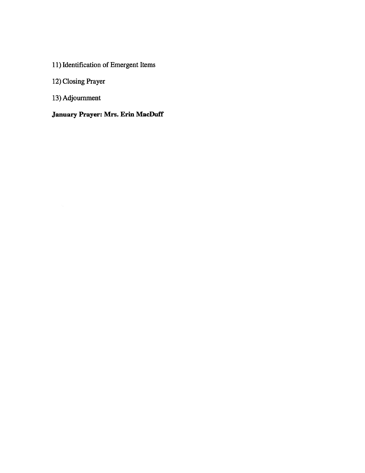# 11) Identification of Emergent Items

# 12) Closing Prayer

13) Adjournment

## January Prayer: Mrs. Erin MacDuff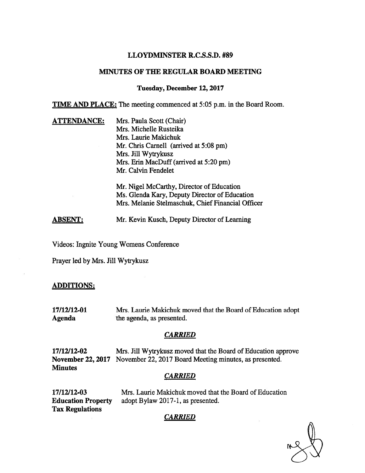### LLOYDMINSTER R.C.S.S.D. #89

## MINUTES OF THE REGULAR BOARD MEETING

#### Tuesday, December 12,2017

**TIME AND PLACE:** The meeting commenced at 5:05 p.m. in the Board Room.

**ATTENDANCE:** Mrs. Paula Scott (Chair) Mrs. Michelle Rusteika Mrs. Laurie Makichuk Mr. Chris Carnell (arrived at 5:08 pm) Mrs. Jill Wytrykusz Mrs. Erin MacDuff (arrived at 5:20 pm) Mr. Calvin Fendelet Mr. Nigel McCarthy, Director of Education

Ms. Glenda Kary, Deputy Director of Education Mrs. Melanie Stelmaschuk, Chief Financial Officer

ABSENT: Mr. Kevin Kusch, Deputy Director of Learning

Videos: Ingnite Young Womens Conference

Prayer led by Mrs. Jill Wytrykusz

#### ADDITIONS:

17/12/12-01 Mrs. Laurie Makichuk moved that the Board of Education adopt Agenda the agenda, as presented.

#### **CARRIED**

17/12/12-02 Mrs. Jill Wytrykusz moved that the Board of Education approve November 22, 2017 November 22, 2017 Board Meeting minutes, as presented. **Minutes** 

#### **CARRIED**

17/12/12-03 Mrs. Laurie Makichuk moved that the Board of Education Education Property adopt Bylaw 2017-1, as presented. Tax Regulations

## **CARRIED**